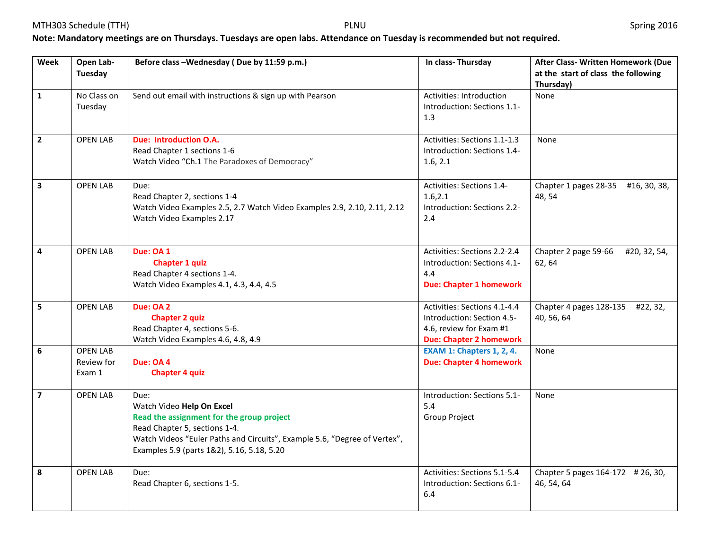## **Note: Mandatory meetings are on Thursdays. Tuesdays are open labs. Attendance on Tuesday is recommended but not required.**

| Week                    | Open Lab-<br><b>Tuesday</b>             | Before class - Wednesday (Due by 11:59 p.m.)                                                                                                                                                                                               | In class-Thursday                                                                                                       | After Class- Written Homework (Due<br>at the start of class the following |
|-------------------------|-----------------------------------------|--------------------------------------------------------------------------------------------------------------------------------------------------------------------------------------------------------------------------------------------|-------------------------------------------------------------------------------------------------------------------------|---------------------------------------------------------------------------|
|                         |                                         |                                                                                                                                                                                                                                            |                                                                                                                         | Thursday)                                                                 |
| $\mathbf{1}$            | No Class on<br>Tuesday                  | Send out email with instructions & sign up with Pearson                                                                                                                                                                                    | Activities: Introduction<br>Introduction: Sections 1.1-<br>1.3                                                          | None                                                                      |
| $\overline{2}$          | <b>OPEN LAB</b>                         | <b>Due: Introduction O.A.</b><br>Read Chapter 1 sections 1-6<br>Watch Video "Ch.1 The Paradoxes of Democracy"                                                                                                                              | Activities: Sections 1.1-1.3<br>Introduction: Sections 1.4-<br>1.6, 2.1                                                 | <b>None</b>                                                               |
| $\overline{\mathbf{3}}$ | <b>OPEN LAB</b>                         | Due:<br>Read Chapter 2, sections 1-4<br>Watch Video Examples 2.5, 2.7 Watch Video Examples 2.9, 2.10, 2.11, 2.12<br>Watch Video Examples 2.17                                                                                              | Activities: Sections 1.4-<br>1.6, 2.1<br>Introduction: Sections 2.2-<br>2.4                                             | Chapter 1 pages 28-35 #16, 30, 38,<br>48, 54                              |
| 4                       | <b>OPEN LAB</b>                         | Due: OA 1<br><b>Chapter 1 quiz</b><br>Read Chapter 4 sections 1-4.<br>Watch Video Examples 4.1, 4.3, 4.4, 4.5                                                                                                                              | Activities: Sections 2.2-2.4<br>Introduction: Sections 4.1-<br>4.4<br><b>Due: Chapter 1 homework</b>                    | Chapter 2 page 59-66<br>#20, 32, 54,<br>62, 64                            |
| 5                       | <b>OPEN LAB</b>                         | Due: OA 2<br><b>Chapter 2 quiz</b><br>Read Chapter 4, sections 5-6.<br>Watch Video Examples 4.6, 4.8, 4.9                                                                                                                                  | Activities: Sections 4.1-4.4<br>Introduction: Section 4.5-<br>4.6, review for Exam #1<br><b>Due: Chapter 2 homework</b> | Chapter 4 pages 128-135 #22, 32,<br>40, 56, 64                            |
| 6                       | <b>OPEN LAB</b><br>Review for<br>Exam 1 | Due: OA 4<br><b>Chapter 4 quiz</b>                                                                                                                                                                                                         | <b>EXAM 1: Chapters 1, 2, 4.</b><br><b>Due: Chapter 4 homework</b>                                                      | None                                                                      |
| $\overline{\mathbf{z}}$ | <b>OPEN LAB</b>                         | Due:<br>Watch Video Help On Excel<br>Read the assignment for the group project<br>Read Chapter 5, sections 1-4.<br>Watch Videos "Euler Paths and Circuits", Example 5.6, "Degree of Vertex",<br>Examples 5.9 (parts 1&2), 5.16, 5.18, 5.20 | Introduction: Sections 5.1-<br>5.4<br>Group Project                                                                     | None                                                                      |
| 8                       | <b>OPEN LAB</b>                         | Due:<br>Read Chapter 6, sections 1-5.                                                                                                                                                                                                      | Activities: Sections 5.1-5.4<br>Introduction: Sections 6.1-<br>6.4                                                      | Chapter 5 pages 164-172 # 26, 30,<br>46, 54, 64                           |